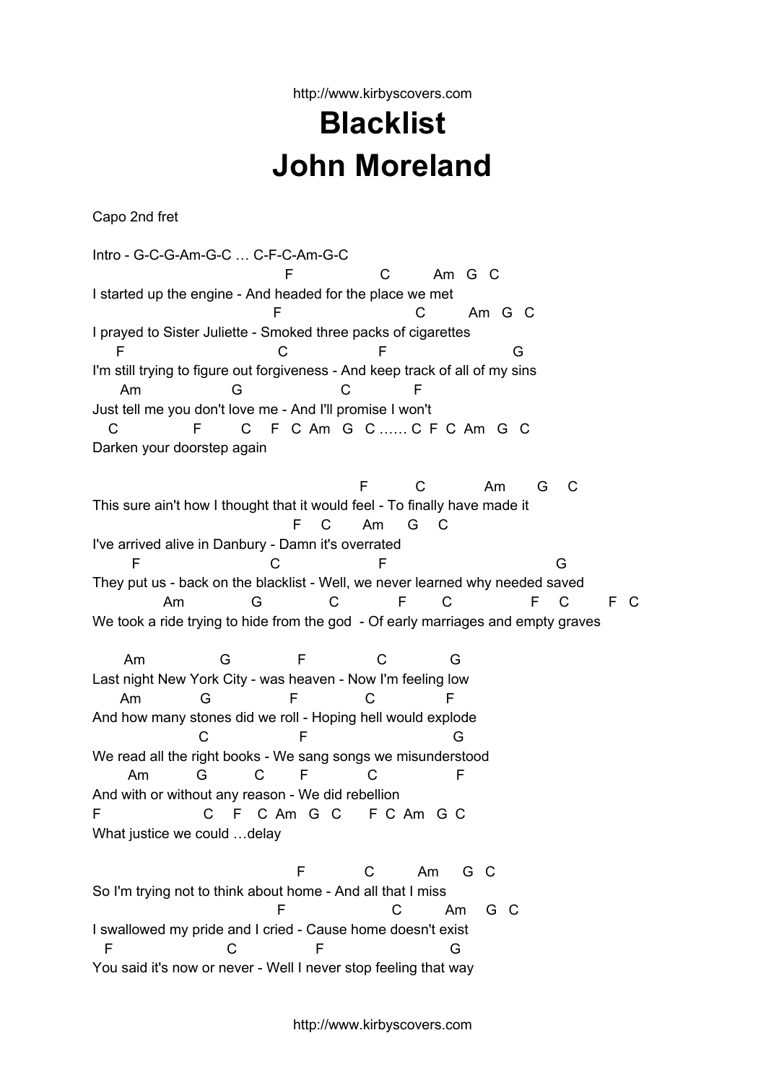http://www.kirbyscovers.com

## **Blacklist John Moreland**

Capo 2nd fret

Intro - G-C-G-Am-G-C … C-F-C-Am-G-C F C Am G C I started up the engine - And headed for the place we met F C Am G C I prayed to Sister Juliette - Smoked three packs of cigarettes F G C F G I'm still trying to figure out forgiveness - And keep track of all of my sins Am G C F Just tell me you don't love me - And I'll promise I won't C F C F C Am G C …… C F C Am G C Darken your doorstep again F C Am G C This sure ain't how I thought that it would feel - To finally have made it F C Am G C I've arrived alive in Danbury - Damn it's overrated F C F G They put us - back on the blacklist - Well, we never learned why needed saved Am G C F C F C F C We took a ride trying to hide from the god - Of early marriages and empty graves Am G F C G Last night New York City - was heaven - Now I'm feeling low Am G F C F And how many stones did we roll - Hoping hell would explode C F G We read all the right books - We sang songs we misunderstood Am G C F C F And with or without any reason - We did rebellion F C F C Am G C F C Am G C What justice we could …delay F C Am G C So I'm trying not to think about home - And all that I miss F C Am G C I swallowed my pride and I cried - Cause home doesn't exist F C F G

You said it's now or never - Well I never stop feeling that way

http://www.kirbyscovers.com